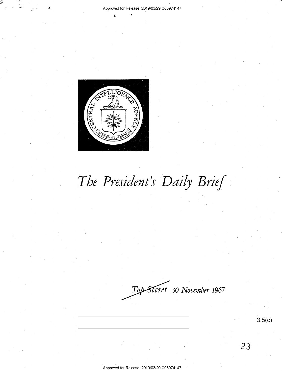

# *The President's Daily Brief*

*ecret* **30** *November* **1967** 

**23**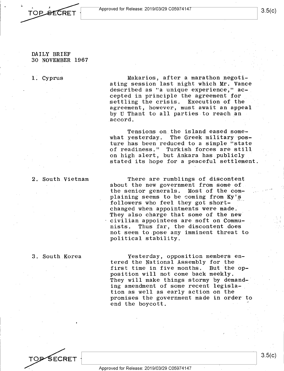Approved for Release: 2019/03/29 C05974147

#### DAILY BRIEF 30 NOVEMBER 1967

**TOP SECRET** 

#### 1. Cyprus

Makarios, after a marathon negotiating session last night which Mr. Vance described as "a unique experience," accepted in principle the agreement for settling the crisis. Execution of the agreement, however, must await an appeal by U Thant to all parties to reach an accord.

Tensions on the island eased somewhat yesterday. The Greek military posture has been reduced to a simple "state of readiness." Turkish forces are still on high alert, but Ankara has publicly stated its hope for a peaceful settlement.

#### 2. South Vietnam

There are rumblings of discontent about the new government from some of the senior generals. Most of the complaining seems to be coming from Ky's followers who feel they got shortchanged when appointments were made. They also charge that some of the new civilian appointees are soft on Communists. Thus far, the discontent does not seem to pose any imminent threat to political stability.

#### 3. South Korea

Yesterday, opposition members entered the National Assembly for the first time in five months. But the opposition will not come back meekly. They will make things stormy by demanding amendment of some recent legislation as well as early action on the promises the government made in order to end the boycott.

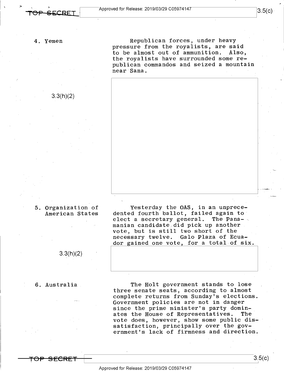3.3(h)(2)

Republican forces, under heavy pressure from the royalists, are said<br>to be almost out of ammunition. Also, to be almost out of ammunition. the royalists have surrounded some republican commandos and seized a mountain **near·sana.** 



#### 5. Organization of American States

3.3(h)(2)

#### 6. Australia

Yesterday the OAS, in an unprecedented fourth ballot, failed again to elect a secretary general. The Panamanian candidate:did pick up another vote, but is still two short of the necessary twelve. Galo Plaza of Ecuador gained one vote, for a total of six.

The Holt government stands to lose three senate seats, according to almost complete returns from Sunday's elections. Government policies are not in danger since the prime minister's party domin-<br>ates the House of Representatives. The ates the House of Representatives. vote does, however, show some public dissatisfaction, principally over the government's lack of firmness and direction.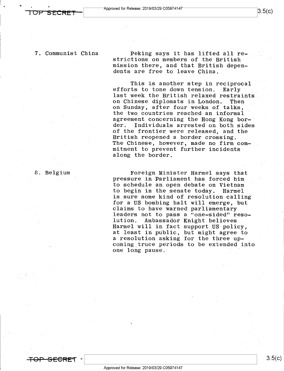8. Belgium

**TOP SECRET** -

7. Communist China

Peking says it has lifted all restrictions on members of the British mission there, and that British dependents are free to leave China.

This is another step in reciprocal efforts to tone down tension. Early last week the British relaxed restraints<br>on Chinese diplomats in London. Then on Chinese diplomats in London. on Sunday, after four weeks of talks, the two countries reached an informal agreement concerning the Hong Kong bor-<br>der. Individuals arrested on both sides Individuals arrested on both sides of the frontier were released, and the British reopened a border crossing. The Chinese, however, made no firm commitment to prevent further incidents along the border.

Foreign Minister Harmel says that pressure in Parliament has forced him to schedule an open debate on Vietnam to begin in the senate today. Harmel is sure some kind of resolution calling for a US bombing halt will emerge, but claims to have warned parliamentary leaders not to pass a "one-sided" reso-<br>lution. Ambassador Knight believes Ambassador Knight believes Harmel will in fact support US policy, at least in public, but might agree to a resolution asking for the three upcoming\_truce periods to be extended into one long pause.

3.5(c)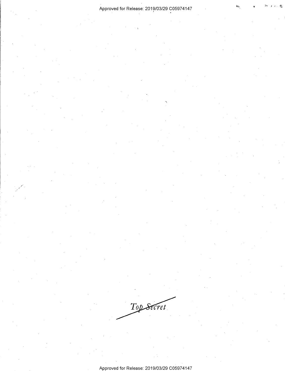#### Approved for Release: 2019/03/29 C05974147

Top Secret

Approved for Release: 2019/03/29 C05974147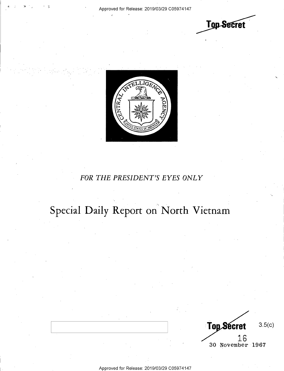**Top Secret** 



### *FOR THE PRESIDENT'S EYES ONLY*

## **Special Daily Report on' North Vietnam**

**Top Secret** 3.5(c) 16 30 November 1967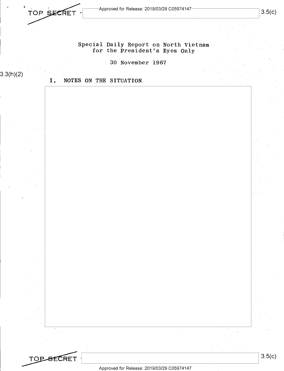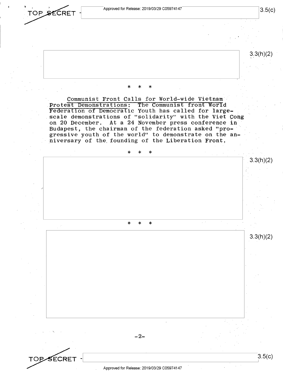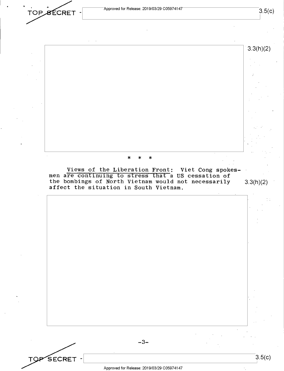Approved for Release: 2019/03/29 C05974147

TOP SECRET -



the bombings of North Vietnam would not necessarily 3.3(h)(2) affect the situation in South Vietnam.

 $-3-$ 

SECRET -

 $3.5(c)$ 

I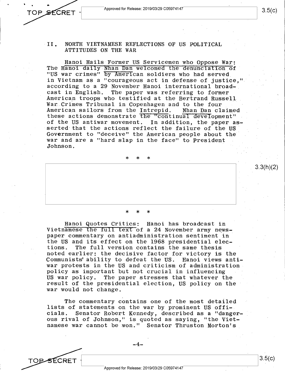Approved for Release: 2019/03/29 C0597 4147

TOPSECRET

3.3(h)(2)

#### II. NORTH VIETNAMESE REFLECTIONS OF US POLITICAL ATTITUDES ON THE WAR

Hanoi Hails Former US Servicemen who Oppose War: The Hanoi daily Nhan Dan welcomed the denunciation of "US war crimes" by American soldiers who had served in Vietnam as a "courageous act in defense of justice,'' according to a 29 November Hanoi international broadcast in English. The paper was referring to former Americap troops who testified at the Bertrand Russel1 War Crimes Tribunal in Copenhagen and to the four<br>American sailors from the Intrepid. Nhan Dan claimed American sailors from the Intrepid. these actions demonstrate the "continual development" of the US antiwar movement. In addition, the paper asserted that the actions reflect the failure of the US Government to "deceive" the American people about the war and are a "hard slap in the face" to President Johnson.

\* \* \*

## \* \* \*

Hanoi Quotes Critics: Hanoi has broadcast in Vietnamese the full text of a 24 November army newspaper commentary on antiadministration sentiment in the US and its effect on the 1968 presidential elec-<br>tions. The full version contains the same thesis The full version contains the same thesis noted earlier: the decisive factor for victory is the Communists' ability to defeat the US. Hanoi views antiwar protests in the US and criticism of administration policy as important but not crucial in influencing US war policy. The paper stresses that whatever the result of the presidential election, US policy on the war would not change.

The commentary contains one of the most detailed lists of statements on the war by prominent US officials. Senator Robert Kennedy, described as a "dangerous rival of Johnson," is quoted as saying, "the Vietnamese war cannot be won." Senator Thruston Morton's

Approved for Release: 2019/03/29 C0597 4147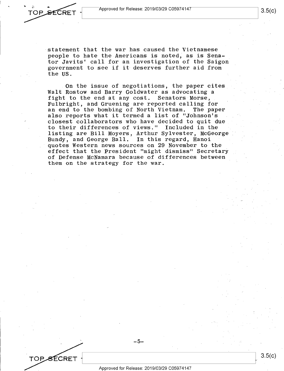

TOPSECRET

statement that the war has caused the Vietnamese people to hate the Americans is noted, as is Senator Javits' call for an investigation of the Saigon government to see if it deserves further aid from the US.

**On** the issue of negotiations, the paper cites Walt Rostow and Barry Goldwater as advocating a fight to the end at any cost. Senators Morse, Fulbright, and Gruening are reported calling for an end to the bombing of North Vietnam. The paper also reports what it termed a list of "Johnson's closest collaborators who have decided to quit due to their differences of views." Included in the listing are Bill Moyers, Arthur Sylvester, McGeorge Bundy, and George Ball. In this regard, Hanoi quotes Western news sources on 29 November to the effect that the President "might dismiss" Secretary of Defense McNamara because of differences between them on the strategy for the war.